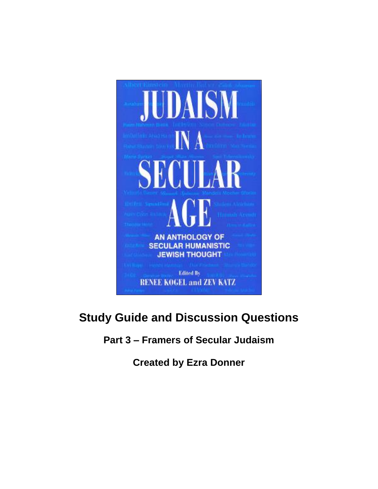

# **Study Guide and Discussion Questions**

**Part 3 – Framers of Secular Judaism**

**Created by Ezra Donner**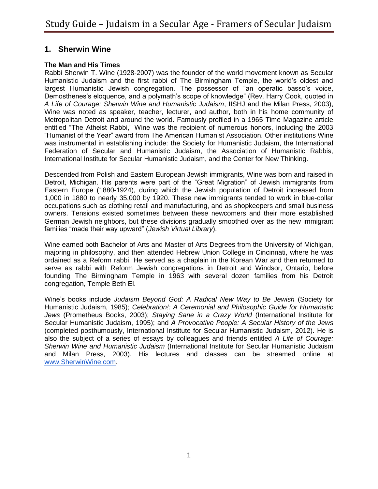### **1. Sherwin Wine**

#### **The Man and His Times**

Rabbi Sherwin T. Wine (1928-2007) was the founder of the world movement known as Secular Humanistic Judaism and the first rabbi of The Birmingham Temple, the world's oldest and largest Humanistic Jewish congregation. The possessor of "an operatic basso's voice, Demosthenes's eloquence, and a polymath's scope of knowledge" (Rev. Harry Cook, quoted in *A Life of Courage: Sherwin Wine and Humanistic Judaism*, IISHJ and the Milan Press, 2003), Wine was noted as speaker, teacher, lecturer, and author, both in his home community of Metropolitan Detroit and around the world. Famously profiled in a 1965 Time Magazine article entitled "The Atheist Rabbi," Wine was the recipient of numerous honors, including the 2003 "Humanist of the Year" award from The American Humanist Association. Other institutions Wine was instrumental in establishing include: the Society for Humanistic Judaism, the International Federation of Secular and Humanistic Judaism, the Association of Humanistic Rabbis, International Institute for Secular Humanistic Judaism, and the Center for New Thinking.

Descended from Polish and Eastern European Jewish immigrants, Wine was born and raised in Detroit, Michigan. His parents were part of the "Great Migration" of Jewish immigrants from Eastern Europe (1880-1924), during which the Jewish population of Detroit increased from 1,000 in 1880 to nearly 35,000 by 1920. These new immigrants tended to work in blue-collar occupations such as clothing retail and manufacturing, and as shopkeepers and small business owners. Tensions existed sometimes between these newcomers and their more established German Jewish neighbors, but these divisions gradually smoothed over as the new immigrant families "made their way upward" (*Jewish Virtual Library*).

Wine earned both Bachelor of Arts and Master of Arts Degrees from the University of Michigan, majoring in philosophy, and then attended Hebrew Union College in Cincinnati, where he was ordained as a Reform rabbi. He served as a chaplain in the Korean War and then returned to serve as rabbi with Reform Jewish congregations in Detroit and Windsor, Ontario, before founding The Birmingham Temple in 1963 with several dozen families from his Detroit congregation, Temple Beth El.

Wine's books include *Judaism Beyond God: A Radical New Way to Be Jewish* (Society for Humanistic Judaism, 1985); *Celebration!: A Ceremonial and Philosophic Guide for Humanistic Jews* (Prometheus Books, 2003); *Staying Sane in a Crazy World* (International Institute for Secular Humanistic Judaism, 1995); and *A Provocative People: A Secular History of the Jews* (completed posthumously, International Institute for Secular Humanistic Judaism, 2012). He is also the subject of a series of essays by colleagues and friends entitled *A Life of Courage: Sherwin Wine and Humanistic Judaism* (International Institute for Secular Humanistic Judaism and Milan Press, 2003). His lectures and classes can be streamed online at [www.SherwinWine.com.](http://www.sherwinwine.com/)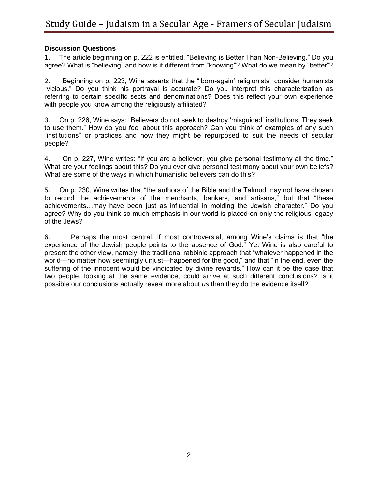#### **Discussion Questions**

1. The article beginning on p. 222 is entitled, "Believing is Better Than Non-Believing." Do you agree? What is "believing" and how is it different from "knowing"? What do we mean by "better"?

2. Beginning on p. 223, Wine asserts that the "'born-again' religionists" consider humanists "vicious." Do you think his portrayal is accurate? Do you interpret this characterization as referring to certain specific sects and denominations? Does this reflect your own experience with people you know among the religiously affiliated?

3. On p. 226, Wine says: "Believers do not seek to destroy 'misguided' institutions. They seek to use them." How do you feel about this approach? Can you think of examples of any such "institutions" or practices and how they might be repurposed to suit the needs of secular people?

4. On p. 227, Wine writes: "If you are a believer, you give personal testimony all the time." What are your feelings about this? Do you ever give personal testimony about your own beliefs? What are some of the ways in which humanistic believers can do this?

5. On p. 230, Wine writes that "the authors of the Bible and the Talmud may not have chosen to record the achievements of the merchants, bankers, and artisans," but that "these achievements…may have been just as influential in molding the Jewish character." Do you agree? Why do you think so much emphasis in our world is placed on only the religious legacy of the Jews?

6. Perhaps the most central, if most controversial, among Wine's claims is that "the experience of the Jewish people points to the absence of God." Yet Wine is also careful to present the other view, namely, the traditional rabbinic approach that "whatever happened in the world—no matter how seemingly unjust—happened for the good," and that "in the end, even the suffering of the innocent would be vindicated by divine rewards." How can it be the case that two people, looking at the same evidence, could arrive at such different conclusions? Is it possible our conclusions actually reveal more about *us* than they do the evidence itself?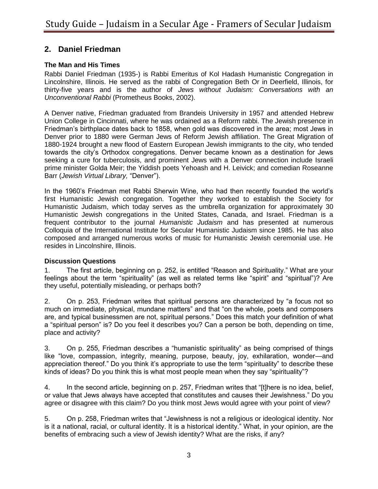# **2. Daniel Friedman**

### **The Man and His Times**

Rabbi Daniel Friedman (1935-) is Rabbi Emeritus of Kol Hadash Humanistic Congregation in Lincolnshire, Illinois. He served as the rabbi of Congregation Beth Or in Deerfield, Illinois, for thirty-five years and is the author of *Jews without Judaism: Conversations with an Unconventional Rabbi* (Prometheus Books, 2002).

A Denver native, Friedman graduated from Brandeis University in 1957 and attended Hebrew Union College in Cincinnati, where he was ordained as a Reform rabbi. The Jewish presence in Friedman's birthplace dates back to 1858, when gold was discovered in the area; most Jews in Denver prior to 1880 were German Jews of Reform Jewish affiliation. The Great Migration of 1880-1924 brought a new flood of Eastern European Jewish immigrants to the city, who tended towards the city's Orthodox congregations. Denver became known as a destination for Jews seeking a cure for tuberculosis, and prominent Jews with a Denver connection include Israeli prime minister Golda Meir; the Yiddish poets Yehoash and H. Leivick; and comedian Roseanne Barr (*Jewish Virtual Library,* "Denver").

In the 1960's Friedman met Rabbi Sherwin Wine, who had then recently founded the world's first Humanistic Jewish congregation. Together they worked to establish the Society for Humanistic Judaism, which today serves as the umbrella organization for approximately 30 Humanistic Jewish congregations in the United States, Canada, and Israel. Friedman is a frequent contributor to the journal *Humanistic Judaism* and has presented at numerous Colloquia of the International Institute for Secular Humanistic Judaism since 1985. He has also composed and arranged numerous works of music for Humanistic Jewish ceremonial use. He resides in Lincolnshire, Illinois.

#### **Discussion Questions**

1. The first article, beginning on p. 252, is entitled "Reason and Spirituality." What are your feelings about the term "spirituality" (as well as related terms like "spirit" and "spiritual")? Are they useful, potentially misleading, or perhaps both?

2. On p. 253, Friedman writes that spiritual persons are characterized by "a focus not so much on immediate, physical, mundane matters" and that "on the whole, poets and composers are, and typical businessmen are not, spiritual persons." Does this match your definition of what a "spiritual person" is? Do you feel it describes you? Can a person be both, depending on time, place and activity?

3. On p. 255, Friedman describes a "humanistic spirituality" as being comprised of things like "love, compassion, integrity, meaning, purpose, beauty, joy, exhilaration, wonder—and appreciation thereof." Do you think it's appropriate to use the term "spirituality" to describe these kinds of ideas? Do you think this is what most people mean when they say "spirituality"?

4. In the second article, beginning on p. 257, Friedman writes that "[t]here is no idea, belief, or value that Jews always have accepted that constitutes and causes their Jewishness." Do you agree or disagree with this claim? Do you think most Jews would agree with your point of view?

5. On p. 258, Friedman writes that "Jewishness is not a religious or ideological identity. Nor is it a national, racial, or cultural identity. It is a historical identity." What, in your opinion, are the benefits of embracing such a view of Jewish identity? What are the risks, if any?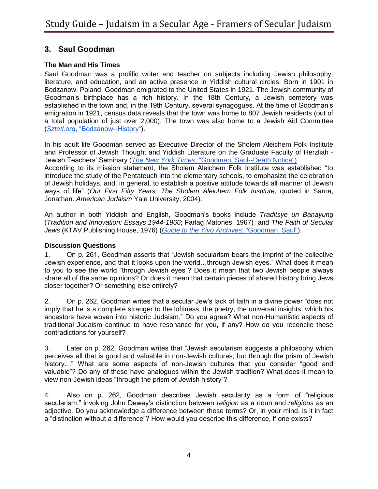# **3. Saul Goodman**

### **The Man and His Times**

Saul Goodman was a prolific writer and teacher on subjects including Jewish philosophy, literature, and education, and an active presence in Yiddish cultural circles. Born in 1901 in Bodzanow, Poland, Goodman emigrated to the United States in 1921. The Jewish community of Goodman's birthplace has a rich history. In the 18th Century, a Jewish cemetery was established in the town and, in the 19th Century, several synagogues. At the time of Goodman's emigration in 1921, census data reveals that the town was home to 807 Jewish residents (out of a total population of just over 2,000). The town was also home to a Jewish Aid Committee (*[Sztetl.org](http://www.sztetl.org.pl/en/article/bodzanow/5,history/)*[, "Bodzanow--History"\)](http://www.sztetl.org.pl/en/article/bodzanow/5,history/).

In his adult life Goodman served as Executive Director of the Sholem Aleichem Folk Institute and Professor of Jewish Thought and Yiddish Literature on the Graduate Faculty of Herzliah - Jewish Teachers' Seminary (*[The New York Times](http://www.nytimes.com/1999/01/15/classified/paid-notice-deaths-goodman-saul-l.html)*[, "Goodman, Saul--Death Notice"\).](http://www.nytimes.com/1999/01/15/classified/paid-notice-deaths-goodman-saul-l.html)

According to its mission statement, the Sholem Aleichem Folk Institute was established "to introduce the study of the Pentateuch into the elementary schools, to emphasize the celebration of Jewish holidays, and, in general, to establish a positive attitude towards all manner of Jewish ways of life" (*Our First Fifty Years: The Sholem Aleichem Folk Institute*, quoted in Sarna, Jonathan. *American Judaism* Yale University, 2004).

An author in both Yiddish and English, Goodman's books include *Traditsye un Banayung* (*Tradition and Innovation: Essays 1944-1966*; Farlag Matones, 1967) and *The Faith of Secular Jews* (KTAV Publishing House, 1976) (*[Guide to the Yivo Archives](http://www.yivoarchives.org/?p=collections/controlcard&id=33542)*[, "Goodman, Saul"\)](http://www.yivoarchives.org/?p=collections/controlcard&id=33542).

#### **Discussion Questions**

1. On p. 261, Goodman asserts that "Jewish secularism bears the imprint of the collective Jewish experience, and that it looks upon the world…through Jewish eyes." What does it mean to you to see the world "through Jewish eyes"? Does it mean that two Jewish people always share all of the same opinions? Or does it mean that certain pieces of shared history bring Jews closer together? Or something else entirely?

2. On p. 262, Goodman writes that a secular Jew's lack of faith in a divine power "does not imply that he is a complete stranger to the loftiness, the poetry, the universal insights, which his ancestors have woven into historic Judaism." Do you agree? What non-Humanistic aspects of traditional Judaism continue to have resonance for you, if any? How do you reconcile these contradictions for yourself?

3. Later on p. 262, Goodman writes that "Jewish secularism suggests a philosophy which perceives all that is good and valuable in non-Jewish cultures, but through the prism of Jewish history…" What are some aspects of non-Jewish cultures that you consider "good and valuable"? Do any of these have analogues within the Jewish tradition? What does it mean to view non-Jewish ideas "through the prism of Jewish history"?

4. Also on p. 262, Goodman describes Jewish secularity as a form of "religious secularism," invoking John Dewey's distinction between *religion* as a noun and *religious* as an adjective. Do you acknowledge a difference between these terms? Or, in your mind, is it in fact a "distinction without a difference"? How would you describe this difference, if one exists?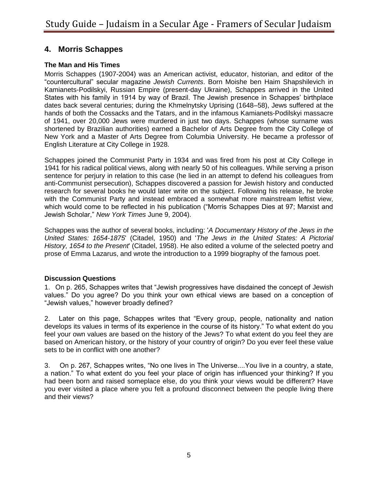# **4. Morris Schappes**

### **The Man and His Times**

Morris Schappes (1907-2004) was an American activist, educator, historian, and editor of the "countercultural" secular magazine *Jewish Currents*. Born Moishe ben Haim Shapshilevich in Kamianets-Podilskyi, Russian Empire (present-day Ukraine), Schappes arrived in the United States with his family in 1914 by way of Brazil. The Jewish presence in Schappes' birthplace dates back several centuries; during the Khmelnytsky Uprising (1648–58), Jews suffered at the hands of both the Cossacks and the Tatars, and in the infamous Kamianets-Podilskyi massacre of 1941, over 20,000 Jews were murdered in just two days. Schappes (whose surname was shortened by Brazilian authorities) earned a Bachelor of Arts Degree from the City College of New York and a Master of Arts Degree from Columbia University. He became a professor of English Literature at City College in 1928.

Schappes joined the Communist Party in 1934 and was fired from his post at City College in 1941 for his radical political views, along with nearly 50 of his colleagues. While serving a prison sentence for perjury in relation to this case (he lied in an attempt to defend his colleagues from anti-Communist persecution), Schappes discovered a passion for Jewish history and conducted research for several books he would later write on the subject. Following his release, he broke with the Communist Party and instead embraced a somewhat more mainstream leftist view, which would come to be reflected in his publication ("Morris Schappes Dies at 97; Marxist and Jewish Scholar," *New York Times* June 9, 2004).

Schappes was the author of several books, including: '*A Documentary History of the Jews in the United States: 1654-1875*' (Citadel, 1950) and '*The Jews in the United States: A Pictorial History, 1654 to the Present*' (Citadel, 1958). He also edited a volume of the selected poetry and prose of Emma Lazarus, and wrote the introduction to a 1999 biography of the famous poet.

#### **Discussion Questions**

1. On p. 265, Schappes writes that "Jewish progressives have disdained the concept of Jewish values." Do you agree? Do you think your own ethical views are based on a conception of "Jewish values," however broadly defined?

2. Later on this page, Schappes writes that "Every group, people, nationality and nation develops its values in terms of its experience in the course of its history." To what extent do you feel your own values are based on the history of the Jews? To what extent do you feel they are based on American history, or the history of your country of origin? Do you ever feel these value sets to be in conflict with one another?

3. On p. 267, Schappes writes, "No one lives in The Universe....You live in a country, a state, a nation." To what extent do you feel your place of origin has influenced your thinking? If you had been born and raised someplace else, do you think your views would be different? Have you ever visited a place where you felt a profound disconnect between the people living there and their views?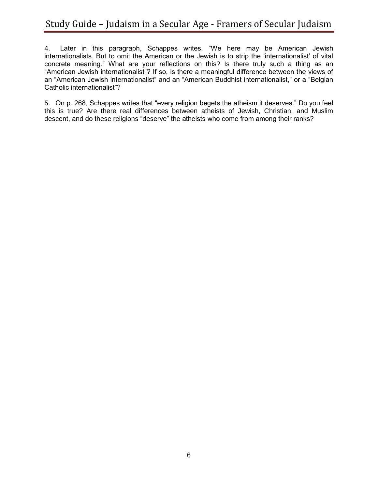4. Later in this paragraph, Schappes writes, "We here may be American Jewish internationalists. But to omit the American or the Jewish is to strip the 'internationalist' of vital concrete meaning." What are your reflections on this? Is there truly such a thing as an "American Jewish internationalist"? If so, is there a meaningful difference between the views of an "American Jewish internationalist" and an "American Buddhist internationalist," or a "Belgian Catholic internationalist"?

5. On p. 268, Schappes writes that "every religion begets the atheism it deserves." Do you feel this is true? Are there real differences between atheists of Jewish, Christian, and Muslim descent, and do these religions "deserve" the atheists who come from among their ranks?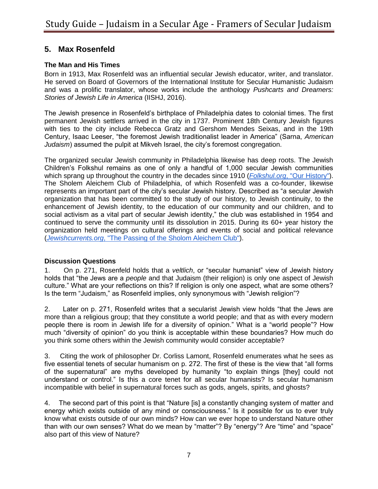# **5. Max Rosenfeld**

### **The Man and His Times**

Born in 1913, Max Rosenfeld was an influential secular Jewish educator, writer, and translator. He served on Board of Governors of the International Institute for Secular Humanistic Judaism and was a prolific translator, whose works include the anthology *Pushcarts and Dreamers: Stories of Jewish Life in America* (IISHJ, 2016).

The Jewish presence in Rosenfeld's birthplace of Philadelphia dates to colonial times. The first permanent Jewish settlers arrived in the city in 1737. Prominent 18th Century Jewish figures with ties to the city include Rebecca Gratz and Gershom Mendes Seixas, and in the 19th Century, Isaac Leeser, "the foremost Jewish traditionalist leader in America" (Sarna, *American Judaism*) assumed the pulpit at Mikveh Israel, the city's foremost congregation.

The organized secular Jewish community in Philadelphia likewise has deep roots. The Jewish Children's Folkshul remains as one of only a handful of 1,000 secular Jewish communities which sprang up throughout the country in the decades since 1910 (*[Folkshul.org](http://folkshul.org/our-history)*[, "Our History"\)](http://folkshul.org/our-history). The Sholem Aleichem Club of Philadelphia, of which Rosenfeld was a co-founder, likewise represents an important part of the city's secular Jewish history. Described as "a secular Jewish organization that has been committed to the study of our history, to Jewish continuity, to the enhancement of Jewish identity, to the education of our community and our children, and to social activism as a vital part of secular Jewish identity," the club was established in 1954 and continued to serve the community until its dissolution in 2015. During its 60+ year history the organization held meetings on cultural offerings and events of social and political relevance (*[Jewishcurrents.org](https://jewishcurrents.org/the-passing-of-the-sholom-aleichem-club/)*[, "The Passing of the Sholom Aleichem Club"\)](https://jewishcurrents.org/the-passing-of-the-sholom-aleichem-club/).

#### **Discussion Questions**

1. On p. 271, Rosenfeld holds that a *veltlich*, or "secular humanist" view of Jewish history holds that "the Jews are a *people* and that Judaism (their religion) is only one aspect of Jewish culture." What are your reflections on this? If religion is only one aspect, what are some others? Is the term "Judaism," as Rosenfeld implies, only synonymous with "Jewish religion"?

2. Later on p. 271, Rosenfeld writes that a secularist Jewish view holds "that the Jews are more than a religious group; that they constitute a world people; and that as with every modern people there is room in Jewish life for a diversity of opinion." What is a "world people"? How much "diversity of opinion" do you think is acceptable within these boundaries? How much do you think some others within the Jewish community would consider acceptable?

3. Citing the work of philosopher Dr. Corliss Lamont, Rosenfeld enumerates what he sees as five essential tenets of secular humanism on p. 272. The first of these is the view that "all forms of the supernatural" are myths developed by humanity "to explain things [they] could not understand or control." Is this a core tenet for all secular humanists? Is secular humanism incompatible with belief in supernatural forces such as gods, angels, spirits, and ghosts?

4. The second part of this point is that "Nature [is] a constantly changing system of matter and energy which exists outside of any mind or consciousness." Is it possible for us to ever truly know what exists outside of our own minds? How can we ever hope to understand Nature other than with our own senses? What do we mean by "matter"? By "energy"? Are "time" and "space" also part of this view of Nature?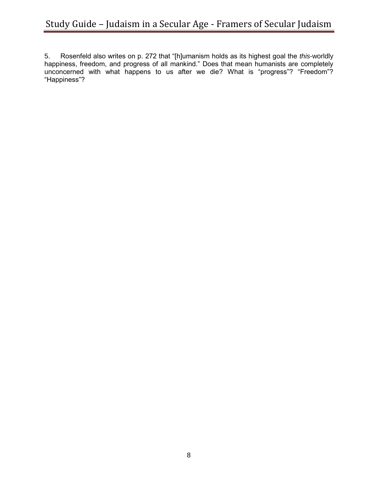5. Rosenfeld also writes on p. 272 that "[h]umanism holds as its highest goal the *this*-worldly happiness, freedom, and progress of all mankind." Does that mean humanists are completely unconcerned with what happens to us after we die? What is "progress"? "Freedom"? "Happiness"?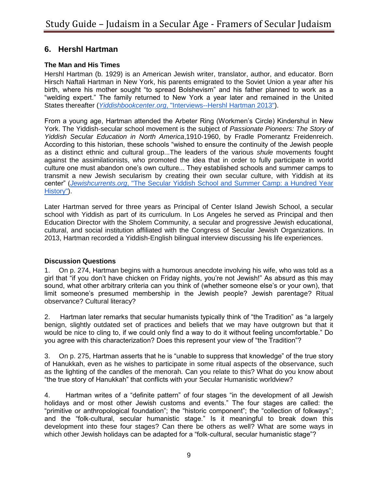# **6. Hershl Hartman**

### **The Man and His Times**

Hershl Hartman (b. 1929) is an American Jewish writer, translator, author, and educator. Born Hirsch Naftali Hartman in New York, his parents emigrated to the Soviet Union a year after his birth, where his mother sought "to spread Bolshevism" and his father planned to work as a "welding expert." The family returned to New York a year later and remained in the United States thereafter (*[Yiddishbookcenter.org](http://www.yiddishbookcenter.org/collections/oral-histories/interviews/woh-fi-0000373/hershl-hartman-2013)*[, "Interviews--Hershl Hartman 2013"\)](http://www.yiddishbookcenter.org/collections/oral-histories/interviews/woh-fi-0000373/hershl-hartman-2013).

From a young age, Hartman attended the Arbeter Ring (Workmen's Circle) Kindershul in New York. The Yiddish-secular school movement is the subject of *Passionate Pioneers: The Story of Yiddish Secular Education in North America*,1910-1960, by Fradle Pomerantz Freidenreich. According to this historian, these schools "wished to ensure the continuity of the Jewish people as a distinct ethnic and cultural group...The leaders of the various *shule* movements fought against the assimilationists, who promoted the idea that in order to fully participate in world culture one must abandon one's own culture... They established schools and summer camps to transmit a new Jewish secularism by creating their own secular culture, with Yiddish at its center" (*[Jewishcurrents.org](http://jewishcurrents.org/the-secular-yiddish-school-and-summer-camp-a-hundred-year-history/#more-19879)*[, "The Secular Yiddish School and Summer Camp: a Hundred Year](http://jewishcurrents.org/the-secular-yiddish-school-and-summer-camp-a-hundred-year-history/#more-19879)  [History"\)](http://jewishcurrents.org/the-secular-yiddish-school-and-summer-camp-a-hundred-year-history/#more-19879).

Later Hartman served for three years as Principal of Center Island Jewish School, a secular school with Yiddish as part of its curriculum. In Los Angeles he served as Principal and then Education Director with the Sholem Community, a secular and progressive Jewish educational, cultural, and social institution affiliated with the Congress of Secular Jewish Organizations. In 2013, Hartman recorded a Yiddish-English bilingual interview discussing his life experiences.

#### **Discussion Questions**

1. On p. 274, Hartman begins with a humorous anecdote involving his wife, who was told as a girl that "if you don't have chicken on Friday nights, you're not Jewish!" As absurd as this may sound, what other arbitrary criteria can you think of (whether someone else's or your own), that limit someone's presumed membership in the Jewish people? Jewish parentage? Ritual observance? Cultural literacy?

2. Hartman later remarks that secular humanists typically think of "the Tradition" as "a largely benign, slightly outdated set of practices and beliefs that we may have outgrown but that it would be nice to cling to, if we could only find a way to do it without feeling uncomfortable." Do you agree with this characterization? Does this represent your view of "the Tradition"?

3. On p. 275, Hartman asserts that he is "unable to suppress that knowledge" of the true story of Hanukkah, even as he wishes to participate in some ritual aspects of the observance, such as the lighting of the candles of the menorah. Can you relate to this? What do you know about "the true story of Hanukkah" that conflicts with your Secular Humanistic worldview?

4. Hartman writes of a "definite pattern" of four stages "in the development of all Jewish holidays and or most other Jewish customs and events." The four stages are called: the "primitive or anthropological foundation"; the "historic component"; the "collection of folkways"; and the "folk-cultural, secular humanistic stage." Is it meaningful to break down this development into these four stages? Can there be others as well? What are some ways in which other Jewish holidays can be adapted for a "folk-cultural, secular humanistic stage"?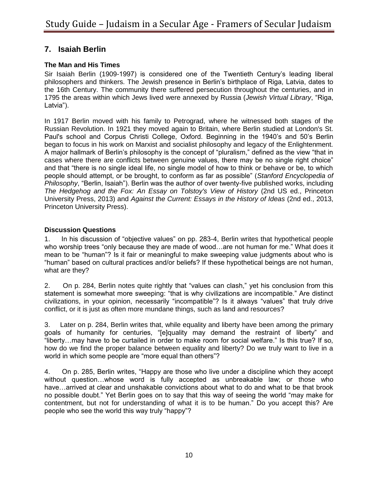# **7. Isaiah Berlin**

### **The Man and His Times**

Sir Isaiah Berlin (1909-1997) is considered one of the Twentieth Century's leading liberal philosophers and thinkers. The Jewish presence in Berlin's birthplace of Riga, Latvia, dates to the 16th Century. The community there suffered persecution throughout the centuries, and in 1795 the areas within which Jews lived were annexed by Russia (*Jewish Virtual Library*, "Riga, Latvia").

In 1917 Berlin moved with his family to Petrograd, where he witnessed both stages of the Russian Revolution. In 1921 they moved again to Britain, where Berlin studied at London's St. Paul's school and Corpus Christi College, Oxford. Beginning in the 1940's and 50's Berlin began to focus in his work on Marxist and socialist philosophy and legacy of the Enlightenment. A major hallmark of Berlin's philosophy is the concept of "pluralism," defined as the view "that in cases where there are conflicts between genuine values, there may be no single right choice" and that "there is no single ideal life, no single model of how to think or behave or be, to which people should attempt, or be brought, to conform as far as possible" (*Stanford Encyclopedia of Philosophy*, "Berlin, Isaiah"). Berlin was the author of over twenty-five published works, including *The Hedgehog and the Fox: An Essay on Tolstoy's View of History* (2nd US ed., Princeton University Press, 2013) and *Against the Current: Essays in the History of Ideas* (2nd ed., 2013, Princeton University Press).

#### **Discussion Questions**

1. In his discussion of "objective values" on pp. 283-4, Berlin writes that hypothetical people who worship trees "only because they are made of wood…are not human for me." What does it mean to be "human"? Is it fair or meaningful to make sweeping value judgments about who is "human" based on cultural practices and/or beliefs? If these hypothetical beings are not human, what are they?

2. On p. 284, Berlin notes quite rightly that "values can clash," yet his conclusion from this statement is somewhat more sweeping: "that is why civilizations are incompatible." Are distinct civilizations, in your opinion, necessarily "incompatible"? Is it always "values" that truly drive conflict, or it is just as often more mundane things, such as land and resources?

3. Later on p. 284, Berlin writes that, while equality and liberty have been among the primary goals of humanity for centuries, "[e]quality may demand the restraint of liberty" and "liberty…may have to be curtailed in order to make room for social welfare." Is this true? If so, how do we find the proper balance between equality and liberty? Do we truly want to live in a world in which some people are "more equal than others"?

4. On p. 285, Berlin writes, "Happy are those who live under a discipline which they accept without question…whose word is fully accepted as unbreakable law; or those who have…arrived at clear and unshakable convictions about what to do and what to be that brook no possible doubt." Yet Berlin goes on to say that this way of seeing the world "may make for contentment, but not for understanding of what it is to be human." Do you accept this? Are people who see the world this way truly "happy"?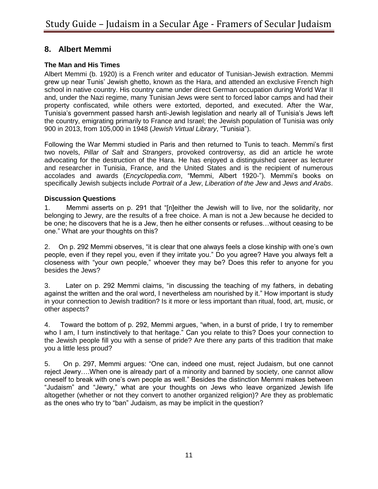# **8. Albert Memmi**

### **The Man and His Times**

Albert Memmi (b. 1920) is a French writer and educator of Tunisian-Jewish extraction. Memmi grew up near Tunis' Jewish ghetto, known as the Hara, and attended an exclusive French high school in native country. His country came under direct German occupation during World War II and, under the Nazi regime, many Tunisian Jews were sent to forced labor camps and had their property confiscated, while others were extorted, deported, and executed. After the War, Tunisia's government passed harsh anti-Jewish legislation and nearly all of Tunisia's Jews left the country, emigrating primarily to France and Israel; the Jewish population of Tunisia was only 900 in 2013, from 105,000 in 1948 (*Jewish Virtual Library*, "Tunisia").

Following the War Memmi studied in Paris and then returned to Tunis to teach. Memmi's first two novels, *Pillar of Salt* and *Strangers*, provoked controversy, as did an article he wrote advocating for the destruction of the Hara. He has enjoyed a distinguished career as lecturer and researcher in Tunisia, France, and the United States and is the recipient of numerous accolades and awards (*Encyclopedia.com*, "Memmi, Albert 1920-"). Memmi's books on specifically Jewish subjects include *Portrait of a Jew*, *Liberation of the Jew* and *Jews and Arabs*.

#### **Discussion Questions**

1. Memmi asserts on p. 291 that "[n]either the Jewish will to live, nor the solidarity, nor belonging to Jewry, are the results of a free choice. A man is not a Jew because he decided to be one; he discovers that he is a Jew, then he either consents or refuses…without ceasing to be one." What are your thoughts on this?

2. On p. 292 Memmi observes, "it is clear that one always feels a close kinship with one's own people, even if they repel you, even if they irritate you." Do you agree? Have you always felt a closeness with "your own people," whoever they may be? Does this refer to anyone for you besides the Jews?

3. Later on p. 292 Memmi claims, "in discussing the teaching of my fathers, in debating against the written and the oral word, I nevertheless am nourished by it." How important is study in your connection to Jewish tradition? Is it more or less important than ritual, food, art, music, or other aspects?

4. Toward the bottom of p. 292, Memmi argues, "when, in a burst of pride, I try to remember who I am, I turn instinctively to that heritage." Can you relate to this? Does your connection to the Jewish people fill you with a sense of pride? Are there any parts of this tradition that make you a little less proud?

5. On p. 297, Memmi argues: "One can, indeed one must, reject Judaism, but one cannot reject Jewry….When one is already part of a minority and banned by society, one cannot allow oneself to break with one's own people as well." Besides the distinction Memmi makes between "Judaism" and "Jewry," what are your thoughts on Jews who leave organized Jewish life altogether (whether or not they convert to another organized religion)? Are they as problematic as the ones who try to "ban" Judaism, as may be implicit in the question?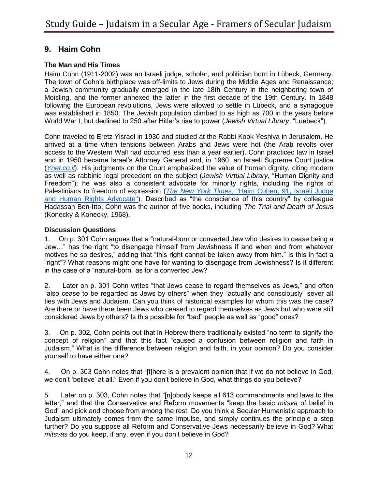# **9. Haim Cohn**

### **The Man and His Times**

Haim Cohn (1911-2002) was an Israeli judge, scholar, and politician born in Lübeck, Germany. The town of Cohn's birthplace was off-limits to Jews during the Middle Ages and Renaissance; a Jewish community gradually emerged in the late 18th Century in the neighboring town of Moisling, and the former annexed the latter in the first decade of the 19th Century. In 1848 following the European revolutions, Jews were allowed to settle in Lübeck, and a synagogue was established in 1850. The Jewish population climbed to as high as 700 in the years before World War I, but declined to 250 after Hitler's rise to power (*Jewish Virtual Library*, "Luebeck").

Cohn traveled to Eretz Yisrael in 1930 and studied at the Rabbi Kook Yeshiva in Jerusalem. He arrived at a time when tensions between Arabs and Jews were hot (the Arab revolts over access to the Western Wall had occurred less than a year earlier). Cohn practiced law in Israel and in 1950 became Israel's Attorney General and, in 1960, an Israeli Supreme Court justice (*[Ynet.co.il](http://www.ynet.co.il/articles/0,7340,L-1826929,00.html)*). His judgments on the Court emphasized the value of human dignity, citing modern as well as rabbinic legal precedent on the subject (*Jewish Virtual Library*, "Human Dignity and Freedom"); he was also a consistent advocate for minority rights, including the rights of Palestinians to freedom of expression (*[The New York Times](http://www.nytimes.com/2002/04/13/world/haim-cohen-91-israeli-judge-and-human-rights-advocate.html)*[, "Haim Cohen, 91, Israeli Judge](http://www.nytimes.com/2002/04/13/world/haim-cohen-91-israeli-judge-and-human-rights-advocate.html)  [and Human Rights Advocate"\)](http://www.nytimes.com/2002/04/13/world/haim-cohen-91-israeli-judge-and-human-rights-advocate.html). Described as "the conscience of this country" by colleague Hadassah Ben-Itto, Cohn was the author of five books, including *The Trial and Death of Jesus* (Konecky & Konecky, 1968).

### **Discussion Questions**

1. On p. 301 Cohn argues that a "natural-born or converted Jew who desires to cease being a Jew…" has the right "to disengage himself from Jewishness if and when and from whatever motives he so desires," adding that "this right cannot be taken away from him." Is this in fact a "right"? What reasons might one have for wanting to disengage from Jewishness? Is it different in the case of a "natural-born" as for a converted Jew?

2. Later on p. 301 Cohn writes "that Jews cease to regard themselves as Jews," and often "also cease to be regarded as Jews by others" when they "actually and consciously" sever all ties with Jews and Judaism. Can you think of historical examples for whom this was the case? Are there or have there been Jews who ceased to regard themselves as Jews but who were still considered Jews by others? Is this possible for "bad" people as well as "good" ones?

3. On p. 302, Cohn points out that in Hebrew there traditionally existed "no term to signify the concept of religion" and that this fact "caused a confusion between religion and faith in Judaism." What is the difference between religion and faith, in your opinion? Do you consider yourself to have either one?

4. On p. 303 Cohn notes that "[t]here is a prevalent opinion that if we do not believe in God, we don't 'believe' at all." Even if you don't believe in God, what things do you believe?

5. Later on p. 303, Cohn notes that "[n]obody keeps all 613 commandments and laws to the letter," and that the Conservative and Reform movements "keep the basic *mitsva* of belief in God" and pick and choose from among the rest. Do you think a Secular Humanistic approach to Judaism ultimately comes from the same impulse, and simply continues the principle a step further? Do you suppose all Reform and Conservative Jews necessarily believe in God? What *mitsvas* do you keep, if any, even if you don't believe in God?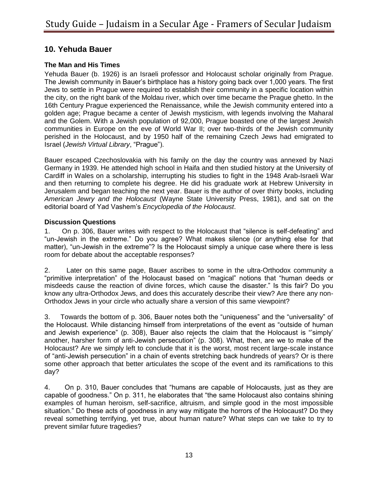# **10. Yehuda Bauer**

### **The Man and His Times**

Yehuda Bauer (b. 1926) is an Israeli professor and Holocaust scholar originally from Prague. The Jewish community in Bauer's birthplace has a history going back over 1,000 years. The first Jews to settle in Prague were required to establish their community in a specific location within the city, on the right bank of the Moldau river, which over time became the Prague ghetto. In the 16th Century Prague experienced the Renaissance, while the Jewish community entered into a golden age; Prague became a center of Jewish mysticism, with legends involving the Maharal and the Golem. With a Jewish population of 92,000, Prague boasted one of the largest Jewish communities in Europe on the eve of World War II; over two-thirds of the Jewish community perished in the Holocaust, and by 1950 half of the remaining Czech Jews had emigrated to Israel (*Jewish Virtual Library*, "Prague").

Bauer escaped Czechoslovakia with his family on the day the country was annexed by Nazi Germany in 1939. He attended high school in Haifa and then studied history at the University of Cardiff in Wales on a scholarship, interrupting his studies to fight in the 1948 Arab-Israeli War and then returning to complete his degree. He did his graduate work at Hebrew University in Jerusalem and began teaching the next year. Bauer is the author of over thirty books, including *American Jewry and the Holocaust* (Wayne State University Press, 1981), and sat on the editorial board of Yad Vashem's *Encyclopedia of the Holocaust*.

#### **Discussion Questions**

1. On p. 306, Bauer writes with respect to the Holocaust that "silence is self-defeating" and "un-Jewish in the extreme." Do you agree? What makes silence (or anything else for that matter), "un-Jewish in the extreme"? Is the Holocaust simply a unique case where there is less room for debate about the acceptable responses?

2. Later on this same page, Bauer ascribes to some in the ultra-Orthodox community a "primitive interpretation" of the Holocaust based on "magical" notions that "human deeds or misdeeds cause the reaction of divine forces, which cause the disaster." Is this fair? Do you know any ultra-Orthodox Jews, and does this accurately describe their view? Are there any non-Orthodox Jews in your circle who actually share a version of this same viewpoint?

3. Towards the bottom of p. 306, Bauer notes both the "uniqueness" and the "universality" of the Holocaust. While distancing himself from interpretations of the event as "outside of human and Jewish experience" (p. 308), Bauer also rejects the claim that the Holocaust is "'simply' another, harsher form of anti-Jewish persecution" (p. 308). What, then, are we to make of the Holocaust? Are we simply left to conclude that it is the worst, most recent large-scale instance of "anti-Jewish persecution" in a chain of events stretching back hundreds of years? Or is there some other approach that better articulates the scope of the event and its ramifications to this day?

4. On p. 310, Bauer concludes that "humans are capable of Holocausts, just as they are capable of goodness." On p. 311, he elaborates that "the same Holocaust also contains shining examples of human heroism, self-sacrifice, altruism, and simple good in the most impossible situation." Do these acts of goodness in any way mitigate the horrors of the Holocaust? Do they reveal something terrifying, yet true, about human nature? What steps can we take to try to prevent similar future tragedies?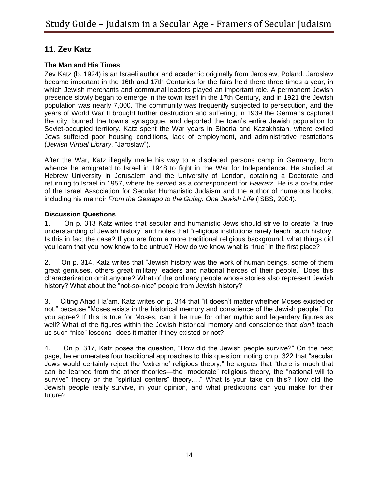# **11. Zev Katz**

### **The Man and His Times**

Zev Katz (b. 1924) is an Israeli author and academic originally from Jaroslaw, Poland. Jaroslaw became important in the 16th and 17th Centuries for the fairs held there three times a year, in which Jewish merchants and communal leaders played an important role. A permanent Jewish presence slowly began to emerge in the town itself in the 17th Century, and in 1921 the Jewish population was nearly 7,000. The community was frequently subjected to persecution, and the years of World War II brought further destruction and suffering; in 1939 the Germans captured the city, burned the town's synagogue, and deported the town's entire Jewish population to Soviet-occupied territory. Katz spent the War years in Siberia and Kazakhstan, where exiled Jews suffered poor housing conditions, lack of employment, and administrative restrictions (*Jewish Virtual Library*, "Jaroslaw").

After the War, Katz illegally made his way to a displaced persons camp in Germany, from whence he emigrated to Israel in 1948 to fight in the War for Independence. He studied at Hebrew University in Jerusalem and the University of London, obtaining a Doctorate and returning to Israel in 1957, where he served as a correspondent for *Haaretz*. He is a co-founder of the Israel Association for Secular Humanistic Judaism and the author of numerous books, including his memoir *From the Gestapo to the Gulag: One Jewish Life* (ISBS, 2004).

#### **Discussion Questions**

1. On p. 313 Katz writes that secular and humanistic Jews should strive to create "a true understanding of Jewish history" and notes that "religious institutions rarely teach" such history. Is this in fact the case? If you are from a more traditional religious background, what things did you learn that you now know to be untrue? How do we know what is "true" in the first place?

2. On p. 314, Katz writes that "Jewish history was the work of human beings, some of them great geniuses, others great military leaders and national heroes of their people." Does this characterization omit anyone? What of the ordinary people whose stories also represent Jewish history? What about the "not-so-nice" people from Jewish history?

3. Citing Ahad Ha'am, Katz writes on p. 314 that "it doesn't matter whether Moses existed or not," because "Moses exists in the historical memory and conscience of the Jewish people." Do you agree? If this is true for Moses, can it be true for other mythic and legendary figures as well? What of the figures within the Jewish historical memory and conscience that *don't* teach us such "nice" lessons--does it matter if they existed or not?

4. On p. 317, Katz poses the question, "How did the Jewish people survive?" On the next page, he enumerates four traditional approaches to this question; noting on p. 322 that "secular Jews would certainly reject the 'extreme' religious theory," he argues that "there is much that can be learned from the other theories—the "moderate" religious theory, the "national will to survive" theory or the "spiritual centers" theory…." What is your take on this? How did the Jewish people really survive, in your opinion, and what predictions can you make for their future?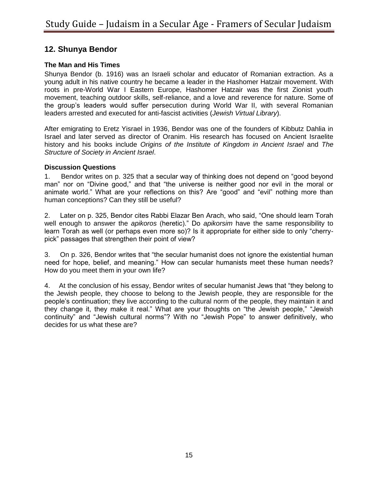# **12. Shunya Bendor**

### **The Man and His Times**

Shunya Bendor (b. 1916) was an Israeli scholar and educator of Romanian extraction. As a young adult in his native country he became a leader in the Hashomer Hatzair movement. With roots in pre-World War I Eastern Europe, Hashomer Hatzair was the first Zionist youth movement, teaching outdoor skills, self-reliance, and a love and reverence for nature. Some of the group's leaders would suffer persecution during World War II, with several Romanian leaders arrested and executed for anti-fascist activities (*Jewish Virtual Library*).

After emigrating to Eretz Yisrael in 1936, Bendor was one of the founders of Kibbutz Dahlia in Israel and later served as director of Oranim. His research has focused on Ancient Israelite history and his books include *Origins of the Institute of Kingdom in Ancient Israel* and *The Structure of Society in Ancient Israel*.

#### **Discussion Questions**

1. Bendor writes on p. 325 that a secular way of thinking does not depend on "good beyond man" nor on "Divine good," and that "the universe is neither good nor evil in the moral or animate world." What are your reflections on this? Are "good" and "evil" nothing more than human conceptions? Can they still be useful?

2. Later on p. 325, Bendor cites Rabbi Elazar Ben Arach, who said, "One should learn Torah well enough to answer the *apikoros* (heretic)." Do *apikorsim* have the same responsibility to learn Torah as well (or perhaps even more so)? Is it appropriate for either side to only "cherrypick" passages that strengthen their point of view?

3. On p. 326, Bendor writes that "the secular humanist does not ignore the existential human need for hope, belief, and meaning." How can secular humanists meet these human needs? How do you meet them in your own life?

4. At the conclusion of his essay, Bendor writes of secular humanist Jews that "they belong to the Jewish people, they choose to belong to the Jewish people, they are responsible for the people's continuation; they live according to the cultural norm of the people, they maintain it and they change it, they make it real." What are your thoughts on "the Jewish people," "Jewish continuity" and "Jewish cultural norms"? With no "Jewish Pope" to answer definitively, who decides for us what these are?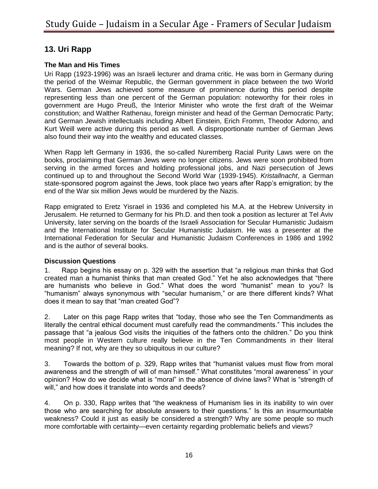# **13. Uri Rapp**

### **The Man and His Times**

Uri Rapp (1923-1996) was an Israeli lecturer and drama critic. He was born in Germany during the period of the Weimar Republic, the German government in place between the two World Wars. German Jews achieved some measure of prominence during this period despite representing less than one percent of the German population: noteworthy for their roles in government are Hugo Preuß, the Interior Minister who wrote the first draft of the Weimar constitution; and Walther Rathenau, foreign minister and head of the German Democratic Party; and German Jewish intellectuals including Albert Einstein, Erich Fromm, Theodor Adorno, and Kurt Weill were active during this period as well. A disproportionate number of German Jews also found their way into the wealthy and educated classes.

When Rapp left Germany in 1936, the so-called Nuremberg Racial Purity Laws were on the books, proclaiming that German Jews were no longer citizens. Jews were soon prohibited from serving in the armed forces and holding professional jobs, and Nazi persecution of Jews continued up to and throughout the Second World War (1939-1945). *Kristallnacht*, a German state-sponsored pogrom against the Jews, took place two years after Rapp's emigration; by the end of the War six million Jews would be murdered by the Nazis.

Rapp emigrated to Eretz Yisrael in 1936 and completed his M.A. at the Hebrew University in Jerusalem. He returned to Germany for his Ph.D. and then took a position as lecturer at Tel Aviv University, later serving on the boards of the Israeli Association for Secular Humanistic Judaism and the International Institute for Secular Humanistic Judaism. He was a presenter at the International Federation for Secular and Humanistic Judaism Conferences in 1986 and 1992 and is the author of several books.

#### **Discussion Questions**

1. Rapp begins his essay on p. 329 with the assertion that "a religious man thinks that God created man a humanist thinks that man created God." Yet he also acknowledges that "there are humanists who believe in God." What does the word "humanist" mean to you? Is "humanism" always synonymous with "secular humanism," or are there different kinds? What does it mean to say that "man created God"?

2. Later on this page Rapp writes that "today, those who see the Ten Commandments as literally the central ethical document must carefully read the commandments." This includes the passage that "a jealous God visits the iniquities of the fathers onto the children." Do you think most people in Western culture really believe in the Ten Commandments in their literal meaning? If not, why are they so ubiquitous in our culture?

3. Towards the bottom of p. 329, Rapp writes that "humanist values must flow from moral awareness and the strength of will of man himself." What constitutes "moral awareness" in your opinion? How do we decide what is "moral" in the absence of divine laws? What is "strength of will," and how does it translate into words and deeds?

4. On p. 330, Rapp writes that "the weakness of Humanism lies in its inability to win over those who are searching for absolute answers to their questions." Is this an insurmountable weakness? Could it just as easily be considered a strength? Why are some people so much more comfortable with certainty—even certainty regarding problematic beliefs and views?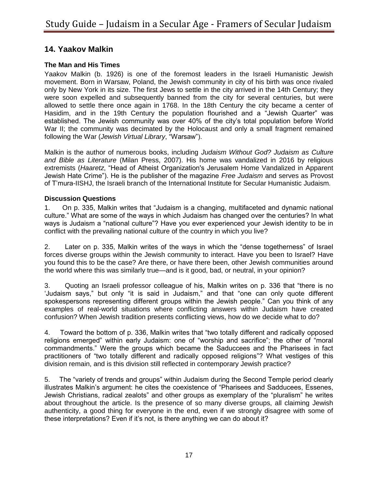### **14. Yaakov Malkin**

### **The Man and His Times**

Yaakov Malkin (b. 1926) is one of the foremost leaders in the Israeli Humanistic Jewish movement. Born in Warsaw, Poland, the Jewish community in city of his birth was once rivaled only by New York in its size. The first Jews to settle in the city arrived in the 14th Century; they were soon expelled and subsequently banned from the city for several centuries, but were allowed to settle there once again in 1768. In the 18th Century the city became a center of Hasidim, and in the 19th Century the population flourished and a "Jewish Quarter" was established. The Jewish community was over 40% of the city's total population before World War II; the community was decimated by the Holocaust and only a small fragment remained following the War (*Jewish Virtual Library*, "Warsaw").

Malkin is the author of numerous books, including *Judaism Without God? Judaism as Culture and Bible as Literature* (Milan Press, 2007). His home was vandalized in 2016 by religious extremists (*Haaretz*, "Head of Atheist Organization's Jerusalem Home Vandalized in Apparent Jewish Hate Crime"). He is the publisher of the magazine *Free Judaism* and serves as Provost of T'mura-IISHJ, the Israeli branch of the International Institute for Secular Humanistic Judaism.

#### **Discussion Questions**

1. On p. 335, Malkin writes that "Judaism is a changing, multifaceted and dynamic national culture." What are some of the ways in which Judaism has changed over the centuries? In what ways is Judaism a "national culture"? Have you ever experienced your Jewish identity to be in conflict with the prevailing national culture of the country in which you live?

2. Later on p. 335, Malkin writes of the ways in which the "dense togetherness" of Israel forces diverse groups within the Jewish community to interact. Have you been to Israel? Have you found this to be the case? Are there, or have there been, other Jewish communities around the world where this was similarly true—and is it good, bad, or neutral, in your opinion?

3. Quoting an Israeli professor colleague of his, Malkin writes on p. 336 that "there is no 'Judaism says," but only "it is said in Judaism," and that "one can only quote different spokespersons representing different groups within the Jewish people." Can you think of any examples of real-world situations where conflicting answers within Judaism have created confusion? When Jewish tradition presents conflicting views, how do we decide what to do?

4. Toward the bottom of p. 336, Malkin writes that "two totally different and radically opposed religions emerged" within early Judaism: one of "worship and sacrifice"; the other of "moral commandments." Were the groups which became the Saduccees and the Pharisees in fact practitioners of "two totally different and radically opposed religions"? What vestiges of this division remain, and is this division still reflected in contemporary Jewish practice?

5. The "variety of trends and groups" within Judaism during the Second Temple period clearly illustrates Malkin's argument: he cites the coexistence of "Pharisees and Sadducees, Essenes, Jewish Christians, radical zealots" and other groups as exemplary of the "pluralism" he writes about throughout the article. Is the presence of so many diverse groups, all claiming Jewish authenticity, a good thing for everyone in the end, even if we strongly disagree with some of these interpretations? Even if it's not, is there anything we can do about it?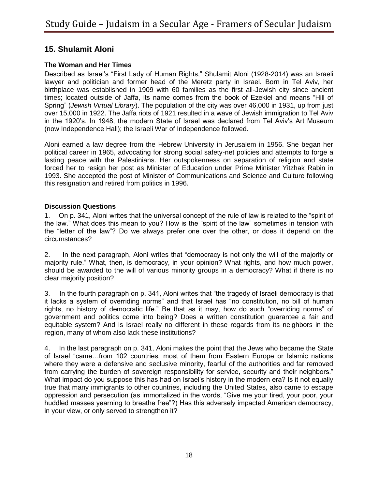# **15. Shulamit Aloni**

### **The Woman and Her Times**

Described as Israel's "First Lady of Human Rights," Shulamit Aloni (1928-2014) was an Israeli lawyer and politician and former head of the Meretz party in Israel. Born in Tel Aviv, her birthplace was established in 1909 with 60 families as the first all-Jewish city since ancient times; located outside of Jaffa, its name comes from the book of Ezekiel and means "Hill of Spring" (*Jewish Virtual Library*). The population of the city was over 46,000 in 1931, up from just over 15,000 in 1922. The Jaffa riots of 1921 resulted in a wave of Jewish immigration to Tel Aviv in the 1920's. In 1948, the modern State of Israel was declared from Tel Aviv's Art Museum (now Independence Hall); the Israeli War of Independence followed.

Aloni earned a law degree from the Hebrew University in Jerusalem in 1956. She began her political career in 1965, advocating for strong social safety-net policies and attempts to forge a lasting peace with the Palestinians. Her outspokenness on separation of religion and state forced her to resign her post as Minister of Education under Prime Minister Yitzhak Rabin in 1993. She accepted the post of Minister of Communications and Science and Culture following this resignation and retired from politics in 1996.

#### **Discussion Questions**

1. On p. 341, Aloni writes that the universal concept of the rule of law is related to the "spirit of the law." What does this mean to you? How is the "spirit of the law" sometimes in tension with the "letter of the law"? Do we always prefer one over the other, or does it depend on the circumstances?

2. In the next paragraph, Aloni writes that "democracy is not only the will of the majority or majority rule." What, then, is democracy, in your opinion? What rights, and how much power, should be awarded to the will of various minority groups in a democracy? What if there is no clear majority position?

3. In the fourth paragraph on p. 341, Aloni writes that "the tragedy of Israeli democracy is that it lacks a system of overriding norms" and that Israel has "no constitution, no bill of human rights, no history of democratic life." Be that as it may, how do such "overriding norms" of government and politics come into being? Does a written constitution guarantee a fair and equitable system? And is Israel really no different in these regards from its neighbors in the region, many of whom also lack these institutions?

4. In the last paragraph on p. 341, Aloni makes the point that the Jews who became the State of Israel "came…from 102 countries, most of them from Eastern Europe or Islamic nations where they were a defensive and seclusive minority, fearful of the authorities and far removed from carrying the burden of sovereign responsibility for service, security and their neighbors." What impact do you suppose this has had on Israel's history in the modern era? Is it not equally true that many immigrants to other countries, including the United States, also came to escape oppression and persecution (as immortalized in the words, "Give me your tired, your poor, your huddled masses yearning to breathe free"?) Has this adversely impacted American democracy, in your view, or only served to strengthen it?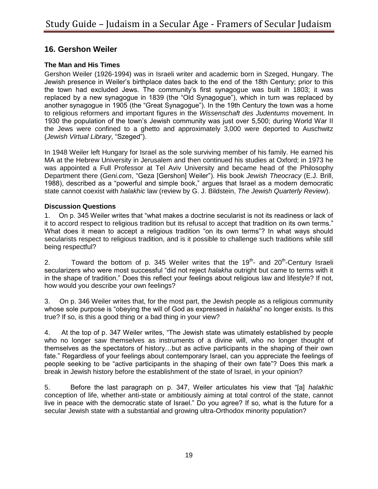# **16. Gershon Weiler**

### **The Man and His Times**

Gershon Weiler (1926-1994) was in Israeli writer and academic born in Szeged, Hungary. The Jewish presence in Weiler's birthplace dates back to the end of the 18th Century; prior to this the town had excluded Jews. The community's first synagogue was built in 1803; it was replaced by a new synagogue in 1839 (the "Old Synagogue"), which in turn was replaced by another synagogue in 1905 (the "Great Synagogue"). In the 19th Century the town was a home to religious reformers and important figures in the *Wissenschaft des Judentums* movement. In 1930 the population of the town's Jewish community was just over 5,500; during World War II the Jews were confined to a ghetto and approximately 3,000 were deported to Auschwitz (*Jewish Virtual Library*, "Szeged").

In 1948 Weiler left Hungary for Israel as the sole surviving member of his family. He earned his MA at the Hebrew University in Jerusalem and then continued his studies at Oxford; in 1973 he was appointed a Full Professor at Tel Aviv University and became head of the Philosophy Department there (*Geni.com*, "Geza [Gershon] Weiler"). His book *Jewish Theocracy* (E.J. Brill, 1988), described as a "powerful and simple book," argues that Israel as a modern democratic state cannot coexist with *halakhic* law (review by G. J. Bildstein, *The Jewish Quarterly Review*).

#### **Discussion Questions**

1. On p. 345 Weiler writes that "what makes a doctrine secularist is not its readiness or lack of it to accord respect to religious tradition but its refusal to accept that tradition on its own terms." What does it mean to accept a religious tradition "on its own terms"? In what ways should secularists respect to religious tradition, and is it possible to challenge such traditions while still being respectful?

2. Toward the bottom of p. 345 Weiler writes that the  $19<sup>th</sup>$  and  $20<sup>th</sup>$ -Century Israeli secularizers who were most successful "did not reject *halakha* outright but came to terms with it in the shape of tradition." Does this reflect your feelings about religious law and lifestyle? If not, how would you describe your own feelings?

3. On p. 346 Weiler writes that, for the most part, the Jewish people as a religious community whose sole purpose is "obeying the will of God as expressed in *halakha*" no longer exists. Is this true? If so, is this a good thing or a bad thing in your view?

4. At the top of p. 347 Weiler writes, "The Jewish state was utimately established by people who no longer saw themselves as instruments of a divine will, who no longer thought of themselves as the spectators of history…but as active participants in the shaping of their own fate." Regardless of your feelings about contemporary Israel, can you appreciate the feelings of people seeking to be "active participants in the shaping of their own fate"? Does this mark a break in Jewish history before the establishment of the state of Israel, in your opinion?

5. Before the last paragraph on p. 347, Weiler articulates his view that "[a] *halakhic*  conception of life, whether anti-state or ambitiously aiming at total control of the state, cannot live in peace with the democratic state of Israel." Do you agree? If so, what is the future for a secular Jewish state with a substantial and growing ultra-Orthodox minority population?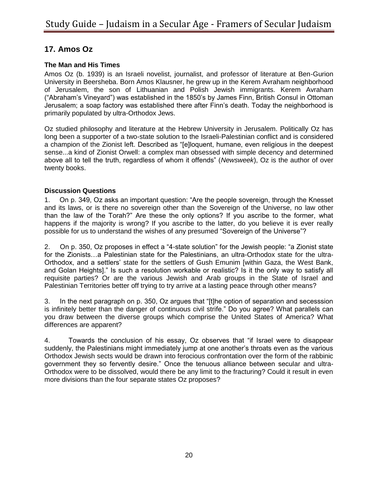# **17. Amos Oz**

### **The Man and His Times**

Amos Oz (b. 1939) is an Israeli novelist, journalist, and professor of literature at Ben-Gurion University in Beersheba. Born Amos Klausner, he grew up in the Kerem Avraham neighborhood of Jerusalem, the son of Lithuanian and Polish Jewish immigrants. Kerem Avraham ("Abraham's Vineyard") was established in the 1850's by James Finn, British Consul in Ottoman Jerusalem; a soap factory was established there after Finn's death. Today the neighborhood is primarily populated by ultra-Orthodox Jews.

Oz studied philosophy and literature at the Hebrew University in Jerusalem. Politically Oz has long been a supporter of a two-state solution to the Israeli-Palestinian conflict and is considered a champion of the Zionist left. Described as "[e]loquent, humane, even religious in the deepest sense...a kind of Zionist Orwell: a complex man obsessed with simple decency and determined above all to tell the truth, regardless of whom it offends" (*Newsweek*), Oz is the author of over twenty books.

### **Discussion Questions**

1. On p. 349, Oz asks an important question: "Are the people sovereign, through the Knesset and its laws, or is there no sovereign other than the Sovereign of the Universe, no law other than the law of the Torah?" Are these the only options? If you ascribe to the former, what happens if the majority is wrong? If you ascribe to the latter, do you believe it is ever really possible for us to understand the wishes of any presumed "Sovereign of the Universe"?

2. On p. 350, Oz proposes in effect a "4-state solution" for the Jewish people: "a Zionist state for the Zionists…a Palestinian state for the Palestinians, an ultra-Orthodox state for the ultra-Orthodox, and a settlers' state for the settlers of Gush Emunim [within Gaza, the West Bank, and Golan Heights]." Is such a resolution workable or realistic? Is it the only way to satisfy all requisite parties? Or are the various Jewish and Arab groups in the State of Israel and Palestinian Territories better off trying to try arrive at a lasting peace through other means?

3. In the next paragraph on p. 350, Oz argues that "[t]he option of separation and secesssion is infinitely better than the danger of continuous civil strife." Do you agree? What parallels can you draw between the diverse groups which comprise the United States of America? What differences are apparent?

4. Towards the conclusion of his essay, Oz observes that "if Israel were to disappear suddenly, the Palestinians might immediately jump at one another's throats even as the various Orthodox Jewish sects would be drawn into ferocious confrontation over the form of the rabbinic government they so fervently desire." Once the tenuous alliance between secular and ultra-Orthodox were to be dissolved, would there be any limit to the fracturing? Could it result in even more divisions than the four separate states Oz proposes?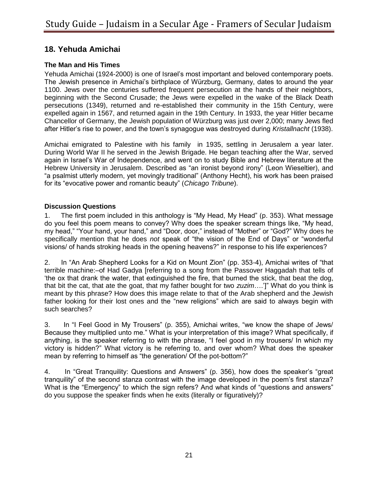# **18. Yehuda Amichai**

### **The Man and His Times**

Yehuda Amichai (1924-2000) is one of Israel's most important and beloved contemporary poets. The Jewish presence in Amichai's birthplace of Würzburg, Germany, dates to around the year 1100. Jews over the centuries suffered frequent persecution at the hands of their neighbors, beginning with the Second Crusade; the Jews were expelled in the wake of the Black Death persecutions (1349), returned and re-established their community in the 15th Century, were expelled again in 1567, and returned again in the 19th Century. In 1933, the year Hitler became Chancellor of Germany, the Jewish population of Würzburg was just over 2,000; many Jews fled after Hitler's rise to power, and the town's synagogue was destroyed during *Kristallnacht* (1938).

Amichai emigrated to Palestine with his family in 1935, settling in Jerusalem a year later. During World War II he served in the Jewish Brigade. He began teaching after the War, served again in Israel's War of Independence, and went on to study Bible and Hebrew literature at the Hebrew University in Jerusalem. Described as "an ironist beyond irony" (Leon Wieseltier), and "a psalmist utterly modern, yet movingly traditional" (Anthony Hecht), his work has been praised for its "evocative power and romantic beauty" (*Chicago Tribune*).

#### **Discussion Questions**

1. The first poem included in this anthology is "My Head, My Head" (p. 353). What message do you feel this poem means to convey? Why does the speaker scream things like, "My head, my head," "Your hand, your hand," and "Door, door," instead of "Mother" or "God?" Why does he specifically mention that he does *not* speak of "the vision of the End of Days" or "wonderful visions/ of hands stroking heads in the opening heavens?" in response to his life experiences?

2. In "An Arab Shepherd Looks for a Kid on Mount Zion" (pp. 353-4), Amichai writes of "that terrible machine:–of Had Gadya [referring to a song from the Passover Haggadah that tells of 'the ox that drank the water, that extinguished the fire, that burned the stick, that beat the dog, that bit the cat, that ate the goat, that my father bought for two *zuzim*….']" What do you think is meant by this phrase? How does this image relate to that of the Arab shepherd and the Jewish father looking for their lost ones and the "new religions" which are said to always begin with such searches?

3. In "I Feel Good in My Trousers" (p. 355), Amichai writes, "we know the shape of Jews/ Because they multiplied unto me." What is your interpretation of this image? What specifically, if anything, is the speaker referring to with the phrase, "I feel good in my trousers/ In which my victory is hidden?" What victory is he referring to, and over whom? What does the speaker mean by referring to himself as "the generation/ Of the pot-bottom?"

4. In "Great Tranquility: Questions and Answers" (p. 356), how does the speaker's "great tranquility" of the second stanza contrast with the image developed in the poem's first stanza? What is the "Emergency" to which the sign refers? And what kinds of "questions and answers" do you suppose the speaker finds when he exits (literally or figuratively)?